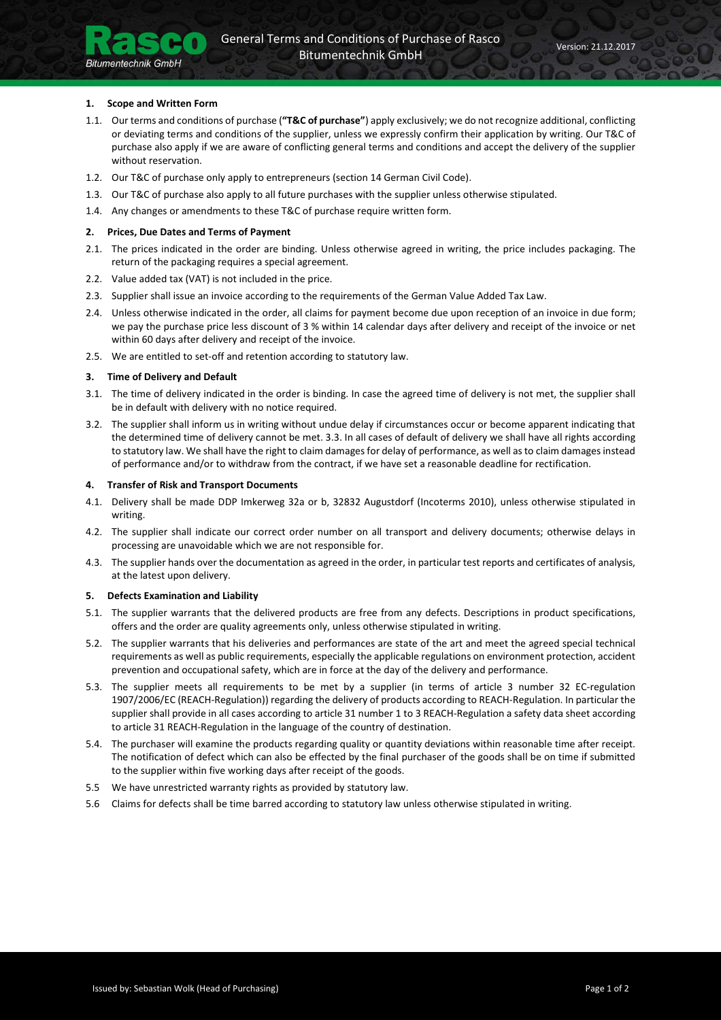# 1. Scope and Written Form

**Bitumentechnik GmbH** 

- 1.1. Our terms and conditions of purchase ("T&C of purchase") apply exclusively; we do not recognize additional, conflicting or deviating terms and conditions of the supplier, unless we expressly confirm their application by writing. Our T&C of purchase also apply if we are aware of conflicting general terms and conditions and accept the delivery of the supplier without reservation.
- 1.2. Our T&C of purchase only apply to entrepreneurs (section 14 German Civil Code).
- 1.3. Our T&C of purchase also apply to all future purchases with the supplier unless otherwise stipulated.
- 1.4. Any changes or amendments to these T&C of purchase require written form.

#### 2. Prices, Due Dates and Terms of Payment

- 2.1. The prices indicated in the order are binding. Unless otherwise agreed in writing, the price includes packaging. The return of the packaging requires a special agreement.
- 2.2. Value added tax (VAT) is not included in the price.
- 2.3. Supplier shall issue an invoice according to the requirements of the German Value Added Tax Law.
- 2.4. Unless otherwise indicated in the order, all claims for payment become due upon reception of an invoice in due form; we pay the purchase price less discount of 3 % within 14 calendar days after delivery and receipt of the invoice or net within 60 days after delivery and receipt of the invoice.
- 2.5. We are entitled to set-off and retention according to statutory law.

#### 3. Time of Delivery and Default

- 3.1. The time of delivery indicated in the order is binding. In case the agreed time of delivery is not met, the supplier shall be in default with delivery with no notice required.
- 3.2. The supplier shall inform us in writing without undue delay if circumstances occur or become apparent indicating that the determined time of delivery cannot be met. 3.3. In all cases of default of delivery we shall have all rights according to statutory law. We shall have the right to claim damages for delay of performance, as well as to claim damages instead of performance and/or to withdraw from the contract, if we have set a reasonable deadline for rectification.

#### 4. Transfer of Risk and Transport Documents

- 4.1. Delivery shall be made DDP Imkerweg 32a or b, 32832 Augustdorf (Incoterms 2010), unless otherwise stipulated in writing.
- 4.2. The supplier shall indicate our correct order number on all transport and delivery documents; otherwise delays in processing are unavoidable which we are not responsible for.
- 4.3. The supplier hands over the documentation as agreed in the order, in particular test reports and certificates of analysis, at the latest upon delivery.

#### 5. Defects Examination and Liability

- 5.1. The supplier warrants that the delivered products are free from any defects. Descriptions in product specifications, offers and the order are quality agreements only, unless otherwise stipulated in writing.
- 5.2. The supplier warrants that his deliveries and performances are state of the art and meet the agreed special technical requirements as well as public requirements, especially the applicable regulations on environment protection, accident prevention and occupational safety, which are in force at the day of the delivery and performance.
- 5.3. The supplier meets all requirements to be met by a supplier (in terms of article 3 number 32 EC-regulation 1907/2006/EC (REACH-Regulation)) regarding the delivery of products according to REACH-Regulation. In particular the supplier shall provide in all cases according to article 31 number 1 to 3 REACH-Regulation a safety data sheet according to article 31 REACH-Regulation in the language of the country of destination.
- 5.4. The purchaser will examine the products regarding quality or quantity deviations within reasonable time after receipt. The notification of defect which can also be effected by the final purchaser of the goods shall be on time if submitted to the supplier within five working days after receipt of the goods.
- 5.5 We have unrestricted warranty rights as provided by statutory law.
- 5.6 Claims for defects shall be time barred according to statutory law unless otherwise stipulated in writing.